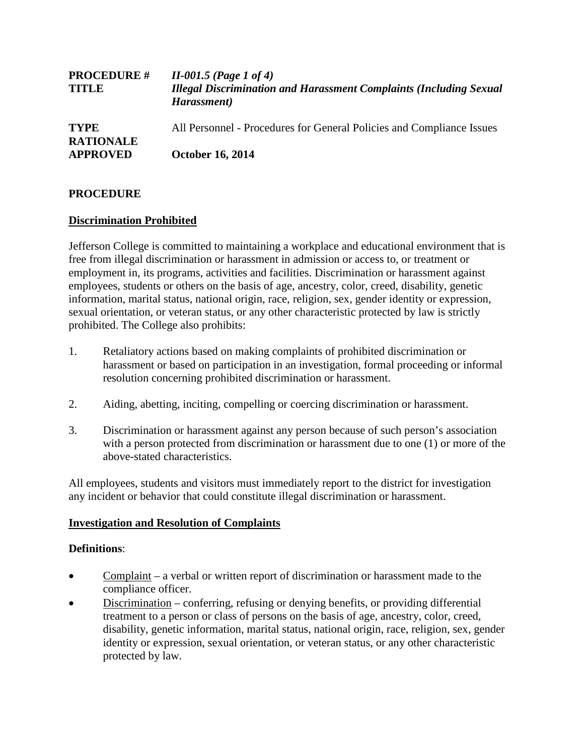| <b>PROCEDURE #</b><br><b>TITLE</b>                 | $II-001.5$ (Page 1 of 4)<br><b>Illegal Discrimination and Harassment Complaints (Including Sexual</b><br>Harassment) |
|----------------------------------------------------|----------------------------------------------------------------------------------------------------------------------|
| <b>TYPE</b><br><b>RATIONALE</b><br><b>APPROVED</b> | All Personnel - Procedures for General Policies and Compliance Issues                                                |
|                                                    | <b>October 16, 2014</b>                                                                                              |

# **PROCEDURE**

# **Discrimination Prohibited**

Jefferson College is committed to maintaining a workplace and educational environment that is free from illegal discrimination or harassment in admission or access to, or treatment or employment in, its programs, activities and facilities. Discrimination or harassment against employees, students or others on the basis of age, ancestry, color, creed, disability, genetic information, marital status, national origin, race, religion, sex, gender identity or expression, sexual orientation, or veteran status, or any other characteristic protected by law is strictly prohibited. The College also prohibits:

- 1. Retaliatory actions based on making complaints of prohibited discrimination or harassment or based on participation in an investigation, formal proceeding or informal resolution concerning prohibited discrimination or harassment.
- 2. Aiding, abetting, inciting, compelling or coercing discrimination or harassment.
- 3. Discrimination or harassment against any person because of such person's association with a person protected from discrimination or harassment due to one (1) or more of the above-stated characteristics.

All employees, students and visitors must immediately report to the district for investigation any incident or behavior that could constitute illegal discrimination or harassment.

# **Investigation and Resolution of Complaints**

# **Definitions**:

- Complaint *–* a verbal or written report of discrimination or harassment made to the compliance officer.
- Discrimination conferring, refusing or denying benefits, or providing differential treatment to a person or class of persons on the basis of age, ancestry, color, creed, disability, genetic information, marital status, national origin, race, religion, sex, gender identity or expression, sexual orientation, or veteran status, or any other characteristic protected by law.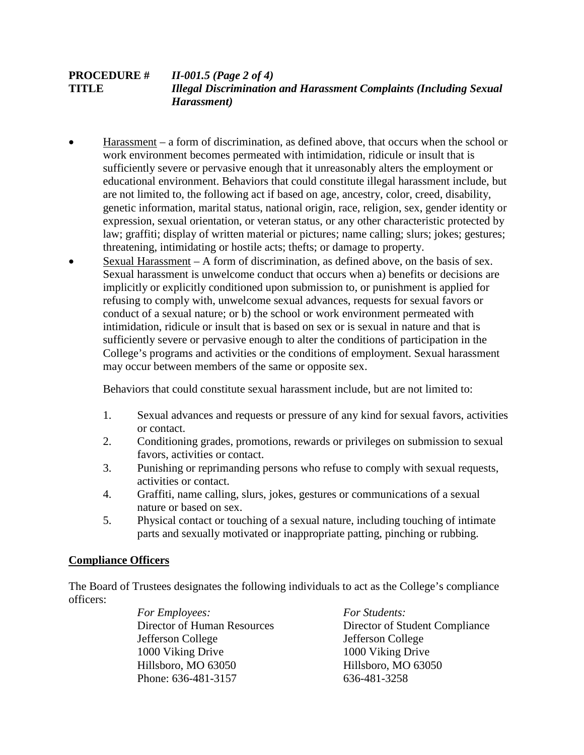# **PROCEDURE #** *II-001.5 (Page 2 of 4)* **TITLE** *Illegal Discrimination and Harassment Complaints (Including Sexual Harassment)*

- Harassment a form of discrimination, as defined above, that occurs when the school or work environment becomes permeated with intimidation, ridicule or insult that is sufficiently severe or pervasive enough that it unreasonably alters the employment or educational environment. Behaviors that could constitute illegal harassment include, but are not limited to, the following act if based on age, ancestry, color, creed, disability, genetic information, marital status, national origin, race, religion, sex, gender identity or expression, sexual orientation, or veteran status, or any other characteristic protected by law; graffiti; display of written material or pictures; name calling; slurs; jokes; gestures; threatening, intimidating or hostile acts; thefts; or damage to property.
- Sexual Harassment  $A$  form of discrimination, as defined above, on the basis of sex. Sexual harassment is unwelcome conduct that occurs when a) benefits or decisions are implicitly or explicitly conditioned upon submission to, or punishment is applied for refusing to comply with, unwelcome sexual advances, requests for sexual favors or conduct of a sexual nature; or b) the school or work environment permeated with intimidation, ridicule or insult that is based on sex or is sexual in nature and that is sufficiently severe or pervasive enough to alter the conditions of participation in the College's programs and activities or the conditions of employment. Sexual harassment may occur between members of the same or opposite sex.

Behaviors that could constitute sexual harassment include, but are not limited to:

- 1. Sexual advances and requests or pressure of any kind for sexual favors, activities or contact.
- 2. Conditioning grades, promotions, rewards or privileges on submission to sexual favors, activities or contact.
- 3. Punishing or reprimanding persons who refuse to comply with sexual requests, activities or contact.
- 4. Graffiti, name calling, slurs, jokes, gestures or communications of a sexual nature or based on sex.
- 5. Physical contact or touching of a sexual nature, including touching of intimate parts and sexually motivated or inappropriate patting, pinching or rubbing.

# **Compliance Officers**

The Board of Trustees designates the following individuals to act as the College's compliance officers:

> *For Employees: For Students:* Jefferson College Jefferson College 1000 Viking Drive 1000 Viking Drive Hillsboro, MO 63050 Hillsboro, MO 63050 Phone: 636-481-3157 636-481-3258

Director of Human Resources Director of Student Compliance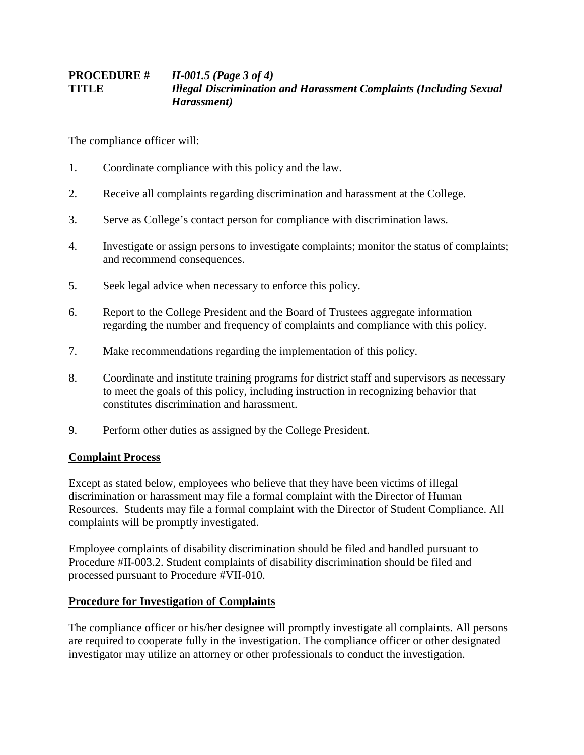# **PROCEDURE #** *II-001.5 (Page 3 of 4)* **TITLE** *Illegal Discrimination and Harassment Complaints (Including Sexual Harassment)*

The compliance officer will:

- 1. Coordinate compliance with this policy and the law.
- 2. Receive all complaints regarding discrimination and harassment at the College.
- 3. Serve as College's contact person for compliance with discrimination laws.
- 4. Investigate or assign persons to investigate complaints; monitor the status of complaints; and recommend consequences.
- 5. Seek legal advice when necessary to enforce this policy.
- 6. Report to the College President and the Board of Trustees aggregate information regarding the number and frequency of complaints and compliance with this policy.
- 7. Make recommendations regarding the implementation of this policy.
- 8. Coordinate and institute training programs for district staff and supervisors as necessary to meet the goals of this policy, including instruction in recognizing behavior that constitutes discrimination and harassment.
- 9. Perform other duties as assigned by the College President.

# **Complaint Process**

Except as stated below, employees who believe that they have been victims of illegal discrimination or harassment may file a formal complaint with the Director of Human Resources. Students may file a formal complaint with the Director of Student Compliance. All complaints will be promptly investigated.

Employee complaints of disability discrimination should be filed and handled pursuant to Procedure #II-003.2. Student complaints of disability discrimination should be filed and processed pursuant to Procedure #VII-010.

# **Procedure for Investigation of Complaints**

The compliance officer or his/her designee will promptly investigate all complaints. All persons are required to cooperate fully in the investigation. The compliance officer or other designated investigator may utilize an attorney or other professionals to conduct the investigation.